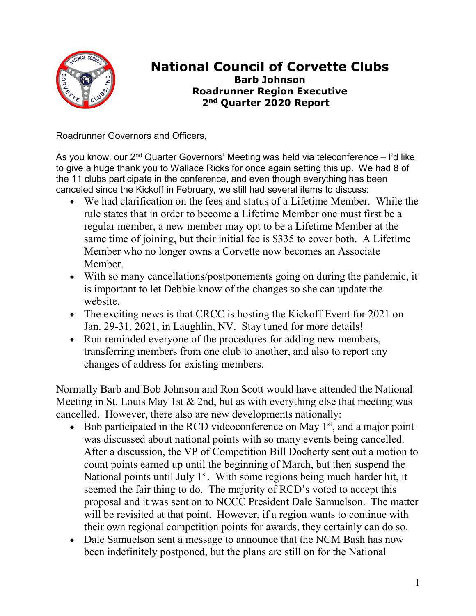

## **National Council of Corvette Clubs Barb Johnson Roadrunner Region Executive 2nd Quarter 2020 Report**

Roadrunner Governors and Officers,

As you know, our 2<sup>nd</sup> Quarter Governors' Meeting was held via teleconference – I'd like to give a huge thank you to Wallace Ricks for once again setting this up. We had 8 of the 11 clubs participate in the conference, and even though everything has been canceled since the Kickoff in February, we still had several items to discuss:

- We had clarification on the fees and status of a Lifetime Member. While the rule states that in order to become a Lifetime Member one must first be a regular member, a new member may opt to be a Lifetime Member at the same time of joining, but their initial fee is \$335 to cover both. A Lifetime Member who no longer owns a Corvette now becomes an Associate Member.
- With so many cancellations/postponements going on during the pandemic, it is important to let Debbie know of the changes so she can update the website.
- The exciting news is that CRCC is hosting the Kickoff Event for 2021 on Jan. 29-31, 2021, in Laughlin, NV. Stay tuned for more details!
- Ron reminded everyone of the procedures for adding new members, transferring members from one club to another, and also to report any changes of address for existing members.

Normally Barb and Bob Johnson and Ron Scott would have attended the National Meeting in St. Louis May 1st & 2nd, but as with everything else that meeting was cancelled. However, there also are new developments nationally:

- Bob participated in the RCD videoconference on May  $1<sup>st</sup>$ , and a major point was discussed about national points with so many events being cancelled. After a discussion, the VP of Competition Bill Docherty sent out a motion to count points earned up until the beginning of March, but then suspend the National points until July  $1<sup>st</sup>$ . With some regions being much harder hit, it seemed the fair thing to do. The majority of RCD's voted to accept this proposal and it was sent on to NCCC President Dale Samuelson. The matter will be revisited at that point. However, if a region wants to continue with their own regional competition points for awards, they certainly can do so.
- Dale Samuelson sent a message to announce that the NCM Bash has now been indefinitely postponed, but the plans are still on for the National